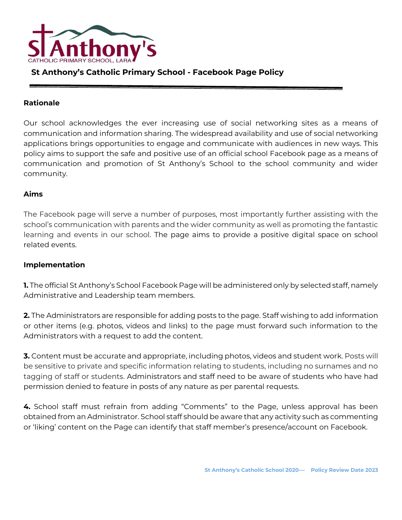

## **St Anthony's Catholic Primary School - Facebook Page Policy**

## **Rationale**

Our school acknowledges the ever increasing use of social networking sites as a means of communication and information sharing. The widespread availability and use of social networking applications brings opportunities to engage and communicate with audiences in new ways. This policy aims to support the safe and positive use of an official school Facebook page as a means of communication and promotion of St Anthony's School to the school community and wider community.

## **Aims**

The Facebook page will serve a number of purposes, most importantly further assisting with the school's communication with parents and the wider community as well as promoting the fantastic learning and events in our school. The page aims to provide a positive digital space on school related events.

## **Implementation**

**1.** The official St Anthony's School Facebook Page will be administered only by selected staff, namely Administrative and Leadership team members.

**2.** The Administrators are responsible for adding posts to the page. Staff wishing to add information or other items (e.g. photos, videos and links) to the page must forward such information to the Administrators with a request to add the content.

**3.** Content must be accurate and appropriate, including photos, videos and student work. Posts will be sensitive to private and specific information relating to students, including no surnames and no tagging of staff or students. Administrators and staff need to be aware of students who have had permission denied to feature in posts of any nature as per parental requests.

**4.** School staff must refrain from adding "Comments" to the Page, unless approval has been obtained from an Administrator. School staff should be aware that any activity such as commenting or 'liking' content on the Page can identify that staff member's presence/account on Facebook.